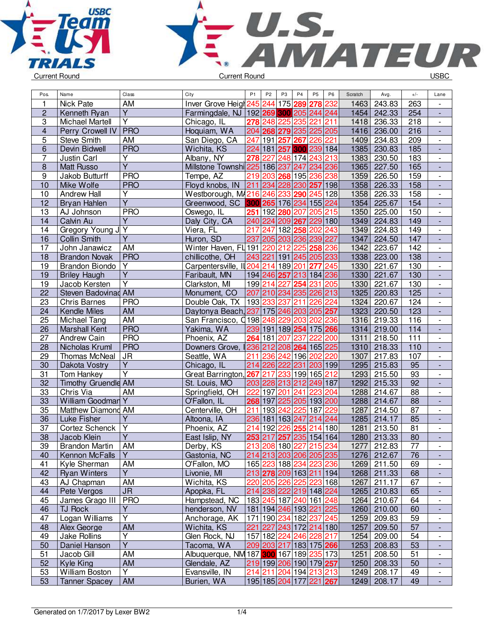



| Pos.             | Name                   | Class                   | City                                    | P <sub>1</sub> | P <sub>2</sub>          | P <sub>3</sub> | P <sub>4</sub> | P <sub>5</sub>      | P <sub>6</sub> | Scratch | Avg.        | $+/-$           | Lane                         |
|------------------|------------------------|-------------------------|-----------------------------------------|----------------|-------------------------|----------------|----------------|---------------------|----------------|---------|-------------|-----------------|------------------------------|
| $\mathbf{1}$     | <b>Nick Pate</b>       | AM                      | Inver Grove Heigt 245 244               |                |                         | 175            | 289            | 278                 | 232            | 1463    | 243.83      | 263             |                              |
| $\overline{c}$   | Kenneth Ryan           | $\overline{Y}$          | Farmingdale, NJ 192 269 300 205 244 244 |                |                         |                |                |                     |                | 1454    | 242.33      | 254             |                              |
| 3                | <b>Michael Martell</b> | $\overline{Y}$          | Chicago, IL                             |                | 278 248 225             |                | 235            | 221                 | 211            | 1418    | 236.33      | 218             | $\overline{\phantom{a}}$     |
| $\overline{4}$   | Perry Crowell IV       | <b>PRO</b>              | Hoquiam, WA                             |                | 204 268 279 235         |                |                | 225 205             |                | 1416    | 236.00      | 216             | $\blacksquare$               |
| 5                | <b>Steve Smith</b>     | AM                      | San Diego, CA                           |                | 247 191 257             |                | 267            | 226 221             |                | 1409    | 234.83      | 209             | $\overline{\phantom{a}}$     |
| 6                | Devin Bidwell          | <b>PRO</b>              | Wichita, KS                             |                | 224 181 257             |                |                | 300 239 184         |                | 1385    | 230.83      | 185             |                              |
| $\overline{7}$   | Justin Carl            | Y                       | Albany, NY                              |                | 278 227                 |                | 248 174        | 243 213             |                | 1383    | 230.50      | 183             | $\overline{\phantom{a}}$     |
| $\overline{8}$   | <b>Matt Russo</b>      | Ÿ                       | Millstone Townshi 225 186 237 247       |                |                         |                |                | 234 236             |                | 1365    | 227.50      | 165             | $\frac{1}{2}$                |
| $\boldsymbol{9}$ | Jakob Butturff         | <b>PRO</b>              | Tempe, AZ                               |                | 219 203 268 195 236 238 |                |                |                     |                | 1359    | 226.50      | 159             | $\overline{\phantom{a}}$     |
| 10               | Mike Wolfe             | <b>PRO</b>              | Floyd knobs, IN                         |                | 211 234 228 230         |                |                | 257                 | 198            | 1358    | 226.33      | 158             |                              |
| 10               | <b>Andrew Hall</b>     | Υ                       | Westborough, M4216 246 233 290          |                |                         |                |                | 245 128             |                | 1358    | 226.33      | 158             | $\overline{\phantom{a}}$     |
| 12               | Bryan Hahlen           | $\overline{\mathsf{Y}}$ | Greenwood, SC                           |                | 300 265 176 234         |                |                | 155 224             |                | 1354    | 225.67      | 154             |                              |
| 13               | AJ Johnson             | <b>PRO</b>              | Oswego, IL                              |                | 251 192 280             |                | 207            | 205 215             |                | 1350    | 225.00      | 150             | $\overline{\phantom{a}}$     |
| 14               | Calvin Au              | Y                       | Daly City, CA                           |                | 240 224 209 267         |                |                | 229 180             |                | 1349    | 224.83      | 149             | $\blacksquare$               |
| 14               | Gregory Young J        | Y                       | Viera, FL                               |                | 217 247                 |                | 182 258        | 202                 | 243            | 1349    | 224.83      | 149             | $\overline{\phantom{a}}$     |
| 16               | <b>Collin Smith</b>    | $\overline{\mathsf{Y}}$ | Huron, SD                               |                | 237 205 203 236 239 227 |                |                |                     |                | 1347    | 224.50      | 147             | $\Box$                       |
| 17               | John Janawicz          | <b>AM</b>               | Winter Haven, FL 191 220                |                |                         | 212            | 225            | 258 236             |                | 1342    | 223.67      | 142             | $\blacksquare$               |
| 18               | <b>Brandon Novak</b>   | <b>PRO</b>              | chillicothe, OH                         |                | 243 221 191 245 205 233 |                |                |                     |                | 1338    | 223.00      | 138             | $\Box$                       |
| 19               | <b>Brandon Biondo</b>  | Y                       | Carpentersville, II 204 214 189 201     |                |                         |                |                | 277                 | 245            | 1330    | 221.67      | 130             | $\overline{\phantom{a}}$     |
| 19               | <b>Briley Haugh</b>    | $\overline{Y}$          | Faribault, MN                           |                | 194 246 257 213 184 236 |                |                |                     |                | 1330    | 221.67      | 130             | $\overline{\phantom{a}}$     |
| 19               | Jacob Kersten          | Ÿ                       | Clarkston, MI                           |                | 199 214 227             |                | 254            | 231                 | 205            | 1330    | 221.67      | 130             |                              |
| 22               | Steven Badovinad AM    |                         | Monument, CO                            |                | 207 210 234 235 226 213 |                |                |                     |                | 1325    | 220.83      | 125             |                              |
| 23               | <b>Chris Barnes</b>    | <b>PRO</b>              | Double Oak, TX                          | 193 233        |                         | 237            | 211            | 226 224             |                | 1324    | 220.67      | 124             | $\overline{\phantom{a}}$     |
| 24               | Kendle Miles           | AM                      | Daytonya Beach, 237 175 246 203         |                |                         |                |                | 205 257             |                | 1323    | 220.50      | 123             | $\frac{1}{2}$                |
| 25               | Michael Tang           | AM                      | San Francisco, 0198 248 229             |                |                         |                | 203            | 202 236             |                | 1316    | 219.33      | 116             | $\overline{\phantom{a}}$     |
| 26               | <b>Marshall Kent</b>   | <b>PRO</b>              | Yakima, WA                              |                | 239 191 189 254 175 266 |                |                |                     |                | 1314    | 219.00      | 114             |                              |
| 27               | Andrew Cain            | <b>PRO</b>              | Phoenix, AZ                             |                | 264 181                 | 207            | 237            | 222                 | 200            | 1311    | 218.50      | 111             | $\overline{\phantom{a}}$     |
| 28               | Nicholas Kruml         | <b>PRO</b>              | Downers Grove,                          |                | 236 212 208 264 165 225 |                |                |                     |                | 1310    | 218.33      | 110             | $\frac{1}{2}$                |
| 29               | Thomas McNeal          | <b>JR</b>               | Seattle, WA                             | 211            |                         |                |                | 236 242 196 202 220 |                | 1307    | 217.83      | 107             | $\overline{\phantom{a}}$     |
| 30               | Dakota Vostry          | Y                       | Chicago, IL                             |                | 214 226 222 231         |                |                | 203 199             |                | 1295    | 215.83      | 95              | $\overline{\phantom{a}}$     |
| 31               | Tom Hankey             | Ÿ                       | Great Barrington,                       | 267            | 217                     |                |                | 233 199 165 212     |                | 1293    | 215.50      | 93              |                              |
| $\overline{32}$  | Timothy Gruendle AM    |                         | St. Louis, MO                           |                | 203 228 213 212         |                |                | 249 187             |                | 1292    | 215.33      | $\overline{92}$ |                              |
| 33               | Chris Via              | AM                      | Springfield, OH                         | 222            | 197 201                 |                | 241            | 223 204             |                | 1288    | 214.67      | 88              | $\overline{\phantom{a}}$     |
| 33               | William Goodman        | Y                       | O'Fallon, IL                            |                | 268 197                 | 225            | 205            | 193 200             |                | 1288    | 214.67      | 88              | $\overline{\phantom{a}}$     |
| 35               | Matthew Diamond AM     |                         | Centerville, OH                         |                | 211 193 242             |                | 225            | 187                 | 229            | 1287    | 214.50      | 87              | $\overline{\phantom{a}}$     |
| 36               | Luke Fisher            | Y                       | Altoona, IA                             |                | 236 181 163 247         |                |                | 214 244             |                | 1285    | 214.17      | 85              | $\blacksquare$               |
| 37               | Cortez Schenck         | $\overline{Y}$          | Phoenix, AZ                             |                | 214 192                 | 226            | 255            | 214                 | 180            | 1281    | 213.50      | 81              | $\overline{\phantom{a}}$     |
| $\overline{38}$  | Jacob Klein            | $\overline{Y}$          | East Islip, NY                          |                | 253 217                 |                |                | 257 235 154 164     |                | 1280    | 213.33      | 80              | L,                           |
| <u>39</u>        | <b>Brandon Martin</b>  | AM                      | Derby, KS                               |                | 213 208 180 227 215 234 |                |                |                     |                | 1277    | 212.83      | 77              | $\overline{\phantom{a}}$     |
| 40               | Kennon McFalls         | Y                       | Gastonia, NC                            |                | 214 213 203 206 205 235 |                |                |                     |                | 1276    | 212.67      | 76              | $\overline{\phantom{a}}$     |
| 41               | Kyle Sherman           | AM                      | O'Fallon, MO                            |                | 165 223 188 234 223 236 |                |                |                     |                | 1269    | 211.50      | 69              | $\overline{\phantom{a}}$     |
| 42               | <b>Ryan Winters</b>    | Y                       | Livonie, MI                             |                | 213 278 209 163 211 194 |                |                |                     |                |         | 1268 211.33 | 68              |                              |
| 43               | AJ Chapman             | AM                      | Wichita, KS                             |                | 220 205 226 225 223 168 |                |                |                     |                | 1267    | 211.17      | 67              | $\overline{\phantom{a}}$     |
| 44               | Pete Vergos            | <b>JR</b>               | Apopka, FL                              |                | 214 238 222 219 148 224 |                |                |                     |                | 1265    | 210.83      | 65              |                              |
| 45               | James Grago III        | <b>PRO</b>              | Hampstead, NC                           |                | 183 245 187 240 161 248 |                |                |                     |                | 1264    | 210.67      | 64              |                              |
| 46               | TJ Rock                | Y                       | henderson, NV                           |                | 181 194 246 193 221 225 |                |                |                     |                | 1260    | 210.00      | 60              | $\overline{\phantom{a}}$     |
| 47               | Logan Williams         | $\overline{Y}$          | Anchorage, AK                           |                | 171 190 234 182 237 245 |                |                |                     |                | 1259    | 209.83      | 59              | $\overline{\phantom{a}}$     |
| 48               | Alex George            | AM                      | Wichita, KS                             |                | 221 227 243 172 214 180 |                |                |                     |                | 1257    | 209.50      | 57              | $\overline{\phantom{a}}$     |
| 49               | Jake Rollins           | Υ                       | Glen Rock, NJ                           |                | 157 182 224 246 228 217 |                |                |                     |                | 1254    | 209.00      | 54              | $\qquad \qquad \blacksquare$ |
| 50               | Daniel Hanson          | $\overline{Y}$          | Tacoma, WA                              |                | 209 203 217 183 175 266 |                |                |                     |                | 1253    | 208.83      | 53              | $\overline{\phantom{a}}$     |
| 51               | Jacob Gill             | AM                      | Albuquerque, NM 187 300 167 189 235 173 |                |                         |                |                |                     |                | 1251    | 208.50      | 51              | $\overline{\phantom{a}}$     |
| 52               | Kyle King              | AM                      | Glendale, AZ                            |                | 219 199 206 190 179 257 |                |                |                     |                | 1250    | 208.33      | 50              | $\overline{\phantom{a}}$     |
| 53               | William Boston         | $\overline{Y}$          | Evansville, IN                          |                | 214 211 204 194 213 213 |                |                |                     |                | 1249    | 208.17      | 49              | $\overline{\phantom{a}}$     |
| 53               | <b>Tanner Spacey</b>   | AM                      | Burien, WA                              |                | 195 185 204 177 221 267 |                |                |                     |                | 1249    | 208.17      | 49              |                              |
|                  |                        |                         |                                         |                |                         |                |                |                     |                |         |             |                 |                              |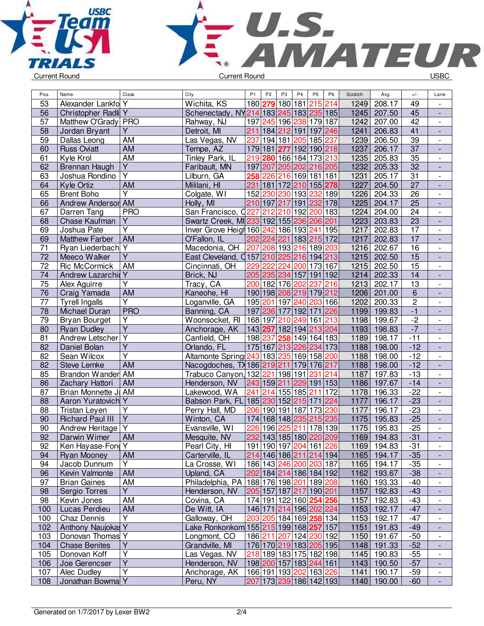



| Pos.            | Name                    | Class                   | City                                      | P <sub>1</sub>          | P <sub>2</sub> | P <sub>3</sub> | P <sub>4</sub>          | P <sub>5</sub> | P <sub>6</sub> | Scratch | Avg.        | $+/-$           | Lane                         |
|-----------------|-------------------------|-------------------------|-------------------------------------------|-------------------------|----------------|----------------|-------------------------|----------------|----------------|---------|-------------|-----------------|------------------------------|
| 53              | Alexander Lankfol Y     |                         | Wichita, KS                               | 180 279 180 181         |                |                |                         | 215 214        |                | 1249    | 208.17      | 49              |                              |
| 56              | Christopher Radli Y     |                         | Schenectady, NY214 183 245 183 235 185    |                         |                |                |                         |                |                | 1245    | 207.50      | 45              | $\overline{\phantom{a}}$     |
| 57              | Matthew O'Grady PRO     |                         | Rahway, NJ                                |                         |                |                | 197 245 196 238 179 187 |                |                | 1242    | 207.00      | 42              | $\overline{\phantom{a}}$     |
| 58              | Jordan Bryant           | Y                       | Detroit, MI                               |                         |                |                | 211 184 212 191 197 246 |                |                | 1241    | 206.83      | $\overline{41}$ | $\overline{\phantom{a}}$     |
| 59              | Dallas Leong            | AM                      | Las Vegas, NV                             |                         |                |                | 237 194 181 205 185 237 |                |                | 1239    | 206.50      | 39              | $\overline{\phantom{a}}$     |
|                 |                         |                         |                                           |                         |                |                |                         |                |                | 1237    |             | $\overline{37}$ |                              |
| 60              | <b>Russ Oviatt</b>      | AM                      | Tempe, AZ                                 |                         |                |                | 179 181 277 192 190 218 |                |                |         | 206.17      |                 | $\blacksquare$               |
| 61              | Kyle Krol               | AM<br>$\overline{Y}$    | Tinley Park, IL                           |                         |                |                | 219 280 166 184 173 213 |                |                | 1235    | 205.83      | 35              | $\blacksquare$               |
| 62              | Brennan Haugh           |                         | Faribault, MN                             | 197 207                 |                |                | 205 202 216 205         |                |                | 1232    | 205.33      | 32              | $\overline{a}$               |
| 63              | Joshua Rondino          | $\overline{\mathsf{Y}}$ | Lilburn, GA                               | 258                     |                |                | 226 216 169 181 181     |                |                | 1231    | 205.17      | 31              | $\overline{\phantom{a}}$     |
| 64              | Kyle Ortiz              | <b>AM</b>               | Mililani, HI                              | 231                     | 181            |                | 172 210 155 278         |                |                | 1227    | 204.50      | 27              | $\overline{\phantom{a}}$     |
| 65              | <b>Brent Boho</b>       | Υ                       | Colgate, WI                               | 152 230                 |                |                | 230 193 232 189         |                |                | 1226    | 204.33      | 26              | $\qquad \qquad \blacksquare$ |
| 66              | Andrew Andersor         | AM                      | Holly, MI                                 |                         |                |                | 210 197 217 191 232 178 |                |                | 1225    | 204.17      | $\overline{25}$ | $\overline{\phantom{a}}$     |
| 67              | Darren Tang             | <b>PRO</b>              | San Francisco, Q227                       |                         | 212            |                | 210 192                 | 200 183        |                | 1224    | 204.00      | 24              | $\overline{\phantom{a}}$     |
| 68              | Chase Kaufman           | Υ                       | Swartz Creek, MI233 192 155 236 206 201   |                         |                |                |                         |                |                | 1223    | 203.83      | $\overline{23}$ | $\frac{1}{2}$                |
| 69              | Joshua Pate             | Ý                       | Inver Grove Heigh 160 242 186 193 241 195 |                         |                |                |                         |                |                | 1217    | 202.83      | 17              | $\overline{\phantom{a}}$     |
| 69              | <b>Matthew Farber</b>   | AM                      | O'Fallon, IL                              | 202 224                 |                |                | 221 183 215 172         |                |                | 1217    | 202.83      | 17              | $\frac{1}{2}$                |
| 71              | Ryan Liederbach Y       |                         | Macedonia, OH                             | 207 208 193 216 189 203 |                |                |                         |                |                | 1216    | 202.67      | $\overline{16}$ | $\overline{\phantom{a}}$     |
| $\overline{72}$ | Meeco Walker            | $\overline{Y}$          | East Cleveland, Q157 210 225 216 194 213  |                         |                |                |                         |                |                | 1215    | 202.50      | 15              | $\frac{1}{2}$                |
| $\overline{72}$ | Ric McCormick           | AM                      | Cincinnati, OH                            | 229 222                 |                |                | 224 200 173 167         |                |                | 1215    | 202.50      | 15              | $\overline{\phantom{a}}$     |
| 74              | Andrew Lazarchid        | Y                       | Brick, NJ                                 |                         |                |                | 205 235 234 157 191 192 |                |                | 1214    | 202.33      | 14              | $\overline{\phantom{a}}$     |
| 75              | Alex Aguirre            | Υ                       | Tracy, CA                                 |                         |                |                | 200 182 176 202 237     |                | 216            | 1213    | 202.17      | 13              | $\overline{\phantom{a}}$     |
| 76              | Craig Yamada            | AM                      | Kaneohe, HI                               |                         |                |                | 190 198 208 219 179 212 |                |                | 1206    | 201.00      | $\overline{6}$  | $\overline{\phantom{a}}$     |
| 77              | <b>Tyrell Ingalls</b>   | Υ                       | Loganville, GA                            |                         |                |                | 195 201 197 240 203 166 |                |                | 1202    | 200.33      | $\overline{2}$  | $\overline{\phantom{a}}$     |
| 78              | Michael Duran           | <b>PRO</b>              | Banning, CA                               |                         |                |                | 197 236 177 192 171 226 |                |                | 1199    | 199.83      | $-1$            | $\overline{\phantom{a}}$     |
| 79              | Bryan Bourget           | Υ                       | Woonsocket, RI                            | 168 197                 |                |                | 210 249 161 213         |                |                | 1198    | 199.67      | $-2$            | $\overline{\phantom{a}}$     |
| 80              | <b>Ryan Dudley</b>      | $\overline{\mathsf{Y}}$ | Anchorage, AK                             | 143 257                 |                |                | 182 194 213 204         |                |                | 1193    | 198.83      | $-7$            | $\blacksquare$               |
| 81              | Andrew Letscher         | $\overline{Y}$          | Canfield, OH                              | 198 237                 |                |                | 258 149 164 183         |                |                | 1189    | 198.17      | $-11$           | $\overline{\phantom{a}}$     |
| 82              | Daniel Bolan            | $\overline{Y}$          | Orlando, FL                               |                         |                |                | 175 167 213 226 234 173 |                |                | 1188    | 198.00      | $-12$           | $\frac{1}{2}$                |
| 82              | Sean Wilcox             | Ý                       | Altamonte Spring 243 183 235 169 158 200  |                         |                |                |                         |                |                | 1188    | 198.00      | $-12$           | $\overline{\phantom{a}}$     |
| 82              | <b>Steve Lemke</b>      | <b>AM</b>               | Nacogdoches, TX 186 219 211 179 176 217   |                         |                |                |                         |                |                | 1188    | 198.00      | $-12$           | $\overline{\phantom{a}}$     |
| 85              | Brandon Wander          | AM                      | Trabuco Canyon, 132 221 198 191           |                         |                |                |                         | 231 214        |                | 1187    | 197.83      | $-13$           | $\overline{\phantom{a}}$     |
| 86              | Zachary Hattori         | <b>AM</b>               | Henderson, NV                             | 243 159 211             |                |                | 229 191 153             |                |                | 1186    | 197.67      | $-14$           | $\overline{\phantom{a}}$     |
| 87              | Brian Monnette Ji       | AM                      | Lakewood, WA                              | 241                     | 214            |                | 155 185                 | 211            | 172            | 1178    | 196.33      | $-22$           | $\overline{\phantom{a}}$     |
| 88              | Aaron Yuratovich        | Y                       | Babson Park, FL 185 230 152 215 171       |                         |                |                |                         |                | 224            | 1177    | 196.17      | $-23$           | $\frac{1}{2}$                |
| 88              | Tristan Leyen           | Y                       | Perry Hall, MD                            |                         |                |                | 206 190 191 187 173 230 |                |                | 1177    | 196.17      | $-23$           | $\overline{\phantom{a}}$     |
| 90              | <b>Richard Paul III</b> | $\overline{Y}$          | Winton, CA                                |                         |                |                | 174 168 148 235 215 235 |                |                | 1175    | 195.83      | $-25$           | $\blacksquare$               |
| 90              | Andrew Heritage         | $\overline{Y}$          | Evansville, WI                            | 226 196                 |                | 225            | 211                     | 178 139        |                | 1175    | 195.83      | $-25$           | $\overline{\phantom{a}}$     |
| 92              | Darwin Wimer            | <b>AM</b>               | Mesquite, NV                              |                         |                |                | 232 143 185 180 220 209 |                |                | 1169    | 194.83      | $-31$           |                              |
| 92              | Ken Hayase-Fond Y       |                         | Pearl City, HI                            |                         |                |                | 191 190 197 204 161 226 |                |                |         | 1169 194.83 | $-31$           | $\overline{\phantom{a}}$     |
| 94              | Ryan Mooney             | <b>AM</b>               | Carterville, IL                           |                         |                |                | 214 146 186 211 214 194 |                |                |         | 1165 194.17 | $-35$           | ٠                            |
| 94              | Jacob Dunnum            | Y                       | La Crosse, WI                             |                         |                |                | 186 143 246 200 203 187 |                |                |         | 1165 194.17 | $-35$           | $\overline{\phantom{a}}$     |
| 96              | Kevin Valmonte          | AM                      | Upland, CA                                |                         |                |                | 202 184 214 186 184 192 |                |                |         | 1162 193.67 | $-38$           | $\overline{\phantom{a}}$     |
| 97              | <b>Brian Gaines</b>     | AM                      | Philadelphia, PA                          |                         |                |                | 188 176 198 201 189 208 |                |                |         | 1160 193.33 | $-40$           |                              |
| 98              | Sergio Torres           | Y                       | Henderson, NV                             |                         |                |                | 205 157 187 217 190 201 |                |                | 1157    | 192.83      | $-43$           |                              |
| 98              | Kevin Jones             | AM                      | Covina, CA                                |                         |                |                | 174 191 122 160 254 256 |                |                | 1157    | 192.83      | $-43$           |                              |
| 100             | Lucas Perdieu           | <b>AM</b>               | De Witt, IA                               |                         |                |                | 146 171 214 196 202 224 |                |                | 1153    | 192.17      | $-47$           |                              |
| 100             | Chaz Dennis             | $\overline{Y}$          | Galloway, OH                              |                         |                |                | 203 205 184 169 258 134 |                |                |         | 1153 192.17 | $-47$           | $\overline{\phantom{a}}$     |
| 102             | Anthony Naujokas Y      |                         | Lake Ronkonkom 155 215 199 168 257 157    |                         |                |                |                         |                |                | 1151    | 191.83      | $-49$           | $\frac{1}{2}$                |
| 103             | Donovan Thomas Y        |                         | Longmont, CO                              |                         |                |                | 186 211 207 124 230 192 |                |                |         | 1150 191.67 | $-50$           | $\overline{\phantom{a}}$     |
| 104             | <b>Chase Benites</b>    | Υ                       | Grandville, MI                            |                         |                |                | 176 170 219 183 205 195 |                |                | 1148    | 191.33      | $-52$           | $\overline{\phantom{a}}$     |
| 105             | Donovan Koff            | Υ                       | Las Vegas, NV                             |                         |                |                | 218 189 183 175 182 198 |                |                |         | 1145 190.83 | $-55$           | $\overline{\phantom{a}}$     |
| 106             | Joe Gerencser           | Ÿ                       | Henderson, NV                             |                         |                |                | 198 200 157 183 244 161 |                |                | 1143    | 190.50      | $-57$           | $\overline{\phantom{a}}$     |
| 107             | Alec Dudley             | Υ                       | Anchorage, AK                             |                         |                |                | 166 191 193 202 163 226 |                |                |         | 1141 190.17 | $-59$           | $\overline{\phantom{a}}$     |
| 108             | Jonathan Bowma Y        |                         | Peru, NY                                  |                         |                |                | 207 173 239 186 142 193 |                |                |         | 1140 190.00 | $-60$           | $\overline{\phantom{a}}$     |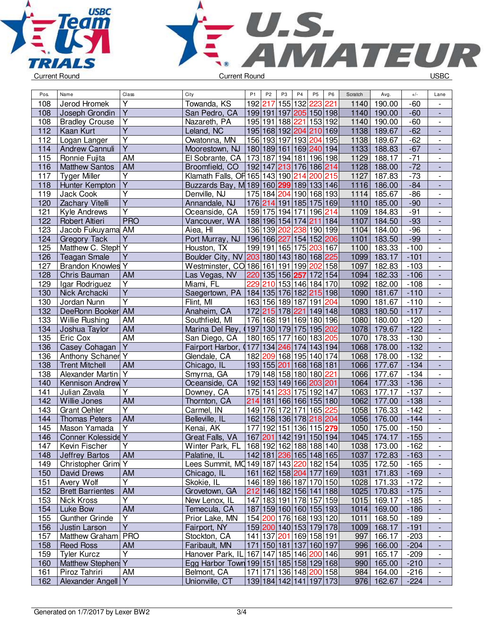



| Pos. | Name                     | Class                   | City                                           | P <sub>1</sub>  | P <sub>2</sub> | P <sub>3</sub> | P <sub>4</sub>      | P <sub>5</sub><br>P <sub>6</sub>  | Scratch | Avg.        | $+/-$  | Lane                         |
|------|--------------------------|-------------------------|------------------------------------------------|-----------------|----------------|----------------|---------------------|-----------------------------------|---------|-------------|--------|------------------------------|
| 108  | Jerod Hromek             | $\overline{\mathsf{Y}}$ | Towanda, KS                                    | 192 217         |                |                | 155 132             | 223<br>221                        | 1140    | 190.00      | $-60$  |                              |
| 108  | Joseph Grondin           | $\overline{\mathsf{Y}}$ | San Pedro, CA                                  |                 |                |                |                     | 199 191 197 205 150 198           | 1140    | 190.00      | $-60$  | $\overline{a}$               |
| 108  | <b>Bradley Crouse</b>    | $\overline{Y}$          | Nazareth, PA                                   |                 |                |                | 195 191 188 221     | 153 192                           | 1140    | 190.00      | $-60$  | $\overline{\phantom{0}}$     |
| 112  | Kaan Kurt                | $\overline{\mathsf{Y}}$ | Leland, NC                                     |                 |                |                | 195 168 192 204     | 210 169                           | 1138    | 189.67      | $-62$  | $\frac{1}{2}$                |
| 112  | Logan Langer             | $\overline{\mathsf{Y}}$ | Owatonna, MN                                   |                 |                |                | 156 193 197 193 204 | 195                               | 1138    | 189.67      | $-62$  | $\overline{a}$               |
| 114  | Andrew Cannuli           | $\overline{Y}$          | Moorestown, NJ                                 |                 |                |                |                     | 180 189 161 169 240 194           | 1133    | 188.83      | $-67$  | $\frac{1}{2}$                |
| 115  | Ronnie Fujita            | AM                      | El Sobrante, CA                                | 173 187 194 181 |                |                |                     | 196 198                           | 1129    | 188.17      | $-71$  | $\overline{\phantom{a}}$     |
| 116  | <b>Matthew Santos</b>    | AM                      | Broomfield, CO                                 |                 |                |                |                     | 192 147 213 176 186 214           | 1128    | 188.00      | $-72$  | $\frac{1}{2}$                |
| 117  | <b>Tyger Miller</b>      | Υ                       | Klamath Falls, OF 165 143 190 214              |                 |                |                |                     | 200 215                           | 1127    | 187.83      | $-73$  | $\overline{\phantom{a}}$     |
| 118  | Hunter Kempton           | Ÿ                       | Buzzards Bay, M 189 160 299 189 133 146        |                 |                |                |                     |                                   | 1116    | 186.00      | $-84$  |                              |
| 119  | <b>Jack Cook</b>         | $\overline{\mathsf{Y}}$ | Denville, NJ                                   |                 | 175 184 204    |                |                     | 190 168 193                       | 1114    | 185.67      | $-86$  | $\overline{\phantom{0}}$     |
| 120  | Zachary Vitelli          | $\overline{Y}$          | Annandale, NJ                                  |                 |                |                |                     | 176 214 191 185 175 169           | 1110    | 185.00      | $-90$  | L,                           |
| 121  | <b>Kyle Andrews</b>      | Ÿ                       | Oceanside, CA                                  | 159 175 194     |                |                | 171                 | 196 214                           | 1109    | 184.83      | $-91$  | $\overline{\phantom{a}}$     |
| 122  | Robert Altieri           | <b>PRO</b>              | Vancouver, WA                                  |                 |                |                | 188 196 154 174     | 184<br>211                        | 1107    | 184.50      | $-93$  | $\frac{1}{2}$                |
| 123  | Jacob Fukuyama AM        |                         | Aiea, HI                                       |                 | 136 139 202    |                | 238                 | 190 199                           | 1104    | 184.00      | $-96$  | $\overline{a}$               |
| 124  | <b>Gregory Tack</b>      | $\overline{Y}$          | Port Murray, NJ                                | 196 166 227     |                |                |                     | 154 152 206                       | 1101    | 183.50      | $-99$  | $\overline{a}$               |
| 125  | Matthew C. Steph Y       |                         | Houston, TX                                    |                 |                |                | 199 191 165 175     | 203<br>167                        | 1100    | 183.33      | $-100$ | $\blacksquare$               |
| 126  | <b>Teagan Smale</b>      | Υ                       | Boulder City, NV 203 180 143 180 168 225       |                 |                |                |                     |                                   | 1099    | 183.17      | $-101$ | $\overline{\phantom{a}}$     |
| 127  | <b>Brandon Knowles Y</b> |                         | Westminster, CO 186 161 191 199                |                 |                |                |                     | 158<br>202                        | 1097    | 182.83      | $-103$ | $\overline{\phantom{0}}$     |
| 128  | Chris Bauman             | AM                      | Las Vegas, NV                                  |                 |                |                | 220 135 156 257     | 172 154                           | 1094    | 182.33      | $-106$ |                              |
| 129  | Igar Rodriguez           | Υ                       | Miami, FL                                      | 229             | 210            |                |                     | 153 146 184 170                   | 1092    | 182.00      | $-108$ | $\overline{\phantom{a}}$     |
| 130  | Nick Archacki            | $\overline{Y}$          | Saegertown, PA                                 |                 |                |                |                     | 184 135 176 182 215 198           | 1090    | 181.67      | $-110$ | ÷,                           |
| 130  | Jordan Nunn              | $\overline{\mathsf{Y}}$ | Flint, MI                                      |                 |                |                |                     | 163 156 189 187 191 204           | 1090    | 181.67      | $-110$ | $\overline{\phantom{a}}$     |
| 132  | DeeRonn Booker           | <b>AM</b>               | Anaheim, CA                                    |                 |                |                |                     | 172 215 178 221 149 148           | 1083    | 180.50      | $-117$ | ÷,                           |
| 133  | Willie Rushing           | AM                      | Southfield, MI                                 |                 |                |                |                     | 176 168 191 169 180 196           | 1080    | 180.00      | $-120$ | $\frac{1}{2}$                |
| 134  | Joshua Taylor            | <b>AM</b>               | Marina Del Rey,                                |                 |                |                |                     | (197 130 179 175 195 202)         | 1078    | 179.67      | $-122$ | $\overline{a}$               |
| 135  | Eric Cox                 | <b>AM</b>               | San Diego, CA                                  |                 | 180 165 177    |                |                     | 160 183 205                       | 1070    | 178.33      | $-130$ | $\blacksquare$               |
| 136  | Casey Cohagan            | Y                       | Fairport Harbor,<br>O                          | 177             |                | 134 246        | 174                 | 143 194                           | 1068    | 178.00      | $-132$ | $\overline{\phantom{a}}$     |
| 136  | Anthony Schaner          | Υ                       | Glendale, CA                                   |                 |                |                | 182 209 168 195     | 140 174                           | 1068    | 178.00      | $-132$ | $\overline{\phantom{0}}$     |
| 138  | <b>Trent Mitchell</b>    | AM                      | Chicago, IL                                    |                 | 193 155 201    |                |                     | 168 168 181                       | 1066    | 177.67      | $-134$ |                              |
| 138  | Alexander Martin Y       |                         | Smyrna, GA                                     |                 |                |                | 179 148 158 180     | 180 221                           | 1066    | 177.67      | $-134$ | $\overline{\phantom{0}}$     |
| 140  | Kennison Andrew          | $\overline{Y}$          | Oceanside, CA                                  |                 |                |                |                     | 192 153 149 166 203 201           | 1064    | 177.33      | $-136$ | $\overline{a}$               |
| 141  | Julian Zavala            | Y                       | Downey, CA                                     | 175 141         |                | 233            | 175                 | 192 147                           | 1063    | 177.17      | $-137$ | $\overline{\phantom{a}}$     |
| 142  | Willie Jones             | AM                      | Thornton, CA                                   |                 |                |                |                     | 214 181 166 166 155 180           | 1062    | 177.00      | $-138$ | ÷,                           |
| 143  | <b>Grant Oehler</b>      | $\overline{Y}$          | Carmel, IN                                     |                 | 149 176 172    |                | 171                 | 165 225                           | 1058    | 176.33      | $-142$ | $\overline{a}$               |
| 144  | <b>Thomas Peters</b>     | AM                      | Belleville, IL                                 |                 |                |                | 162 158 136 178     | 218 204                           | 1056    | 176.00      | $-144$ | $\overline{a}$               |
| 145  | Mason Yamada             | $\overline{Y}$          | Kenai, AK                                      | 177             | 192            | 151            | 136                 | 115 279                           | 1050    | 175.00      | $-150$ | $\frac{1}{2}$                |
| 146  | Conner Kolesside Y       |                         | Great Falls, VA                                |                 |                |                |                     | 167 201 142 191 150 194           | 1045    | 174.17      | $-155$ | $\overline{\phantom{a}}$     |
| 147  | Kevin Fischer            | Y                       | Winter Park, FL   168  192  162  188  188  140 |                 |                |                |                     |                                   |         | 1038 173.00 | $-162$ | $\overline{\phantom{a}}$     |
| 148  | Jeffrey Bartos           | AM                      | Palatine, IL                                   |                 |                |                |                     | 142 181 236 165 148 165           | 1037    | 172.83      | $-163$ |                              |
| 149  | Christopher Grim Y       |                         | Lees Summit, MQ149 187 143 220 182 154         |                 |                |                |                     |                                   | 1035    | 172.50      | $-165$ |                              |
| 150  | David Drews              | AM                      | Chicago, IL                                    |                 |                |                |                     | 161   162   158   204   177   169 | 1031    | 171.83      | $-169$ |                              |
| 151  | Avery Wolf               | $\overline{\mathsf{Y}}$ | Skokie, IL                                     |                 |                |                |                     | 146 189 186 187 170 150           | 1028    | 171.33      | $-172$ | $\overline{\phantom{a}}$     |
| 152  | <b>Brett Barrientes</b>  | AM                      | Grovetown, GA                                  |                 |                |                |                     | 212 146 182 156 141 188           | 1025    | 170.83      | $-175$ | $\blacksquare$               |
| 153  | Nick Kross               | $\overline{Y}$          | New Lenox, IL                                  |                 |                |                |                     | 147 183 191 178 157 159           | 1015    | 169.17      | $-185$ | $\overline{\phantom{0}}$     |
| 154  | Luke Bow                 | AM                      | Temecula, CA                                   |                 |                |                |                     | 187 159 160 160 155 193           |         | 1014 169.00 | $-186$ | $\qquad \qquad \blacksquare$ |
| 155  | <b>Gunther Grinde</b>    | Υ                       | Prior Lake, MN                                 |                 |                |                |                     | 154 200 176 168 193 120           | 1011    | 168.50      | $-189$ | $\overline{\phantom{a}}$     |
| 156  | Justin Larson            | $\overline{Y}$          | Fairport, NY                                   |                 |                |                |                     | 159 200 140 153 179 178           |         | 1009 168.17 | $-191$ | $\overline{\phantom{a}}$     |
| 157  | Matthew Graham   PRO     |                         | Stockton, CA                                   |                 |                |                |                     | 141   137   201   169   158   191 | 997     | 166.17      | $-203$ | $\overline{\phantom{0}}$     |
| 158  | <b>Reed Ross</b>         | <b>AM</b>               | Faribault, MN                                  |                 |                |                |                     | 171 150 181 137 160 197           | 996     | 166.00      | $-204$ | ٠                            |
| 159  | <b>Tyler Kurcz</b>       | Υ                       | Hanover Park, IL 167 147 185 146 200 146       |                 |                |                |                     |                                   | 991     | 165.17      | $-209$ | $\overline{\phantom{a}}$     |
| 160  | Matthew Stephen: Y       |                         | Egg Harbor Town 199 151 185 158 129 168        |                 |                |                |                     |                                   | 990     | 165.00      | $-210$ | ٠                            |
| 161  | Piroz Tahriri            | AM                      | Belmont, CA                                    |                 |                |                |                     | 171   171   136   148   200   158 | 984     | 164.00      | $-216$ | $\overline{\phantom{a}}$     |
| 162  | Alexander Angell Y       |                         | Unionville, CT                                 |                 |                |                |                     | 139 184 142 141 197 173           | 976     | 162.67      | $-224$ | $\blacksquare$               |